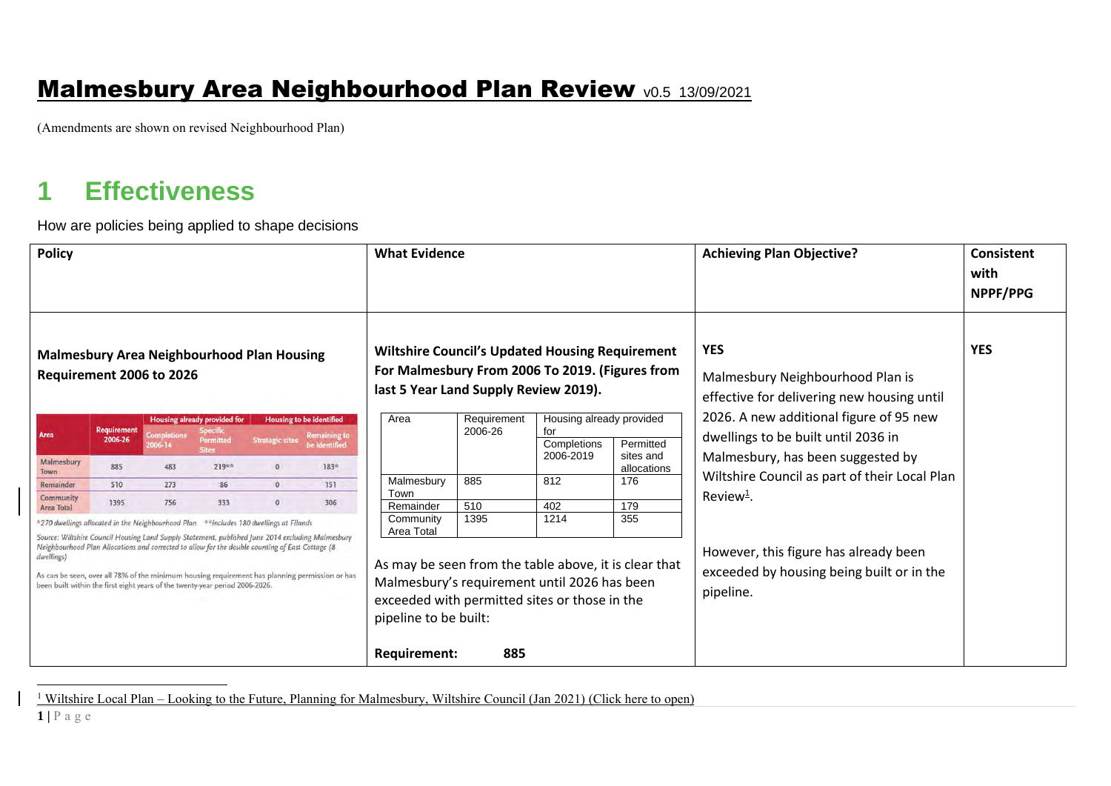#### **Malmesbury Area Neighbourhood Plan Review v0.5 13/09/2021**

(Amendments are shown on revised Neighbourhood Plan)

# **1 Effectiveness**

How are policies being applied to shape decisions

| <b>Policy</b>                                                                                                                                                                                                                                                                                                                                                                                                                                                                                     |                               |     |                                                              | <b>What Evidence</b>                                                                                                                                                                                                              |                                      |                   |                        | <b>Achieving Plan Objective?</b>                                                                | Consistent<br>with<br>NPPF/PPG |                                                                                |  |
|---------------------------------------------------------------------------------------------------------------------------------------------------------------------------------------------------------------------------------------------------------------------------------------------------------------------------------------------------------------------------------------------------------------------------------------------------------------------------------------------------|-------------------------------|-----|--------------------------------------------------------------|-----------------------------------------------------------------------------------------------------------------------------------------------------------------------------------------------------------------------------------|--------------------------------------|-------------------|------------------------|-------------------------------------------------------------------------------------------------|--------------------------------|--------------------------------------------------------------------------------|--|
| <b>Malmesbury Area Neighbourhood Plan Housing</b><br>Requirement 2006 to 2026                                                                                                                                                                                                                                                                                                                                                                                                                     |                               |     |                                                              | <b>Wiltshire Council's Updated Housing Requirement</b><br>For Malmesbury From 2006 To 2019. (Figures from<br>last 5 Year Land Supply Review 2019).                                                                                |                                      |                   |                        | <b>YES</b><br>Malmesbury Neighbourhood Plan is<br>effective for delivering new housing until    | <b>YES</b>                     |                                                                                |  |
| Area                                                                                                                                                                                                                                                                                                                                                                                                                                                                                              | <b>Requirement</b><br>2006-26 |     | <b>Housing already provided for</b><br>Specific<br>Permitted | <b>Housing to be identified</b><br><b>Strategic sites</b>                                                                                                                                                                         | <b>Remaining to</b><br>be identified | Area              | Requirement<br>2006-26 | Housing already provided<br>for<br>Completions                                                  | Permitted                      | 2026. A new additional figure of 95 new<br>dwellings to be built until 2036 in |  |
| Malmesbury<br>Town                                                                                                                                                                                                                                                                                                                                                                                                                                                                                | 885                           | 483 | <b>Sites</b><br>219**                                        | $\overline{0}$                                                                                                                                                                                                                    | 183*                                 |                   |                        | 2006-2019                                                                                       | sites and<br>allocations       | Malmesbury, has been suggested by                                              |  |
| Remainder                                                                                                                                                                                                                                                                                                                                                                                                                                                                                         | 510                           | 273 | 86                                                           | $\circ$                                                                                                                                                                                                                           | 151                                  | Malmesbury        | 885                    | 812                                                                                             | 176                            | Wiltshire Council as part of their Local Plan                                  |  |
| <b>Community</b><br>Area Total                                                                                                                                                                                                                                                                                                                                                                                                                                                                    | 1395                          | 756 | 333                                                          | $\mathbf{0}$                                                                                                                                                                                                                      | 306                                  | Town<br>Remainder | 510                    | 402                                                                                             | 179                            | Review <sup>1</sup> .                                                          |  |
| *270 dwellings allocated in the Neighbourhood Plan<br>**includes 180 dwellings at Filands<br>Source: Wiltshire Council Housing Land Supply Statement, published June 2014 excluding Malmesbury<br>Neighbourhood Plan Allocations and corrected to allow for the double counting of East Cottage (8<br>dwellings<br>As can be seen, over all 78% of the minimum housing requirement has planning permission or has<br>been built within the first eight years of the twenty-year period 2006-2026. |                               |     |                                                              | Community<br>Area Total<br>As may be seen from the table above, it is clear that<br>Malmesbury's requirement until 2026 has been<br>exceeded with permitted sites or those in the<br>pipeline to be built:<br><b>Requirement:</b> | 1395<br>885                          | 1214              | 355                    | However, this figure has already been<br>exceeded by housing being built or in the<br>pipeline. |                                |                                                                                |  |

<sup>1</sup> Wiltshire Local Plan – Looking to the Future, Planning for Malmesbury, Wiltshire Council (Jan 2021) [\(Click here to open\)](https://www.wiltshire.gov.uk/media/5635/Planning-for-Malmesbury/pdf/WLP_Market_Town_Planning_for_Malmesbury_FINAL.pdf?m=637459651390170000)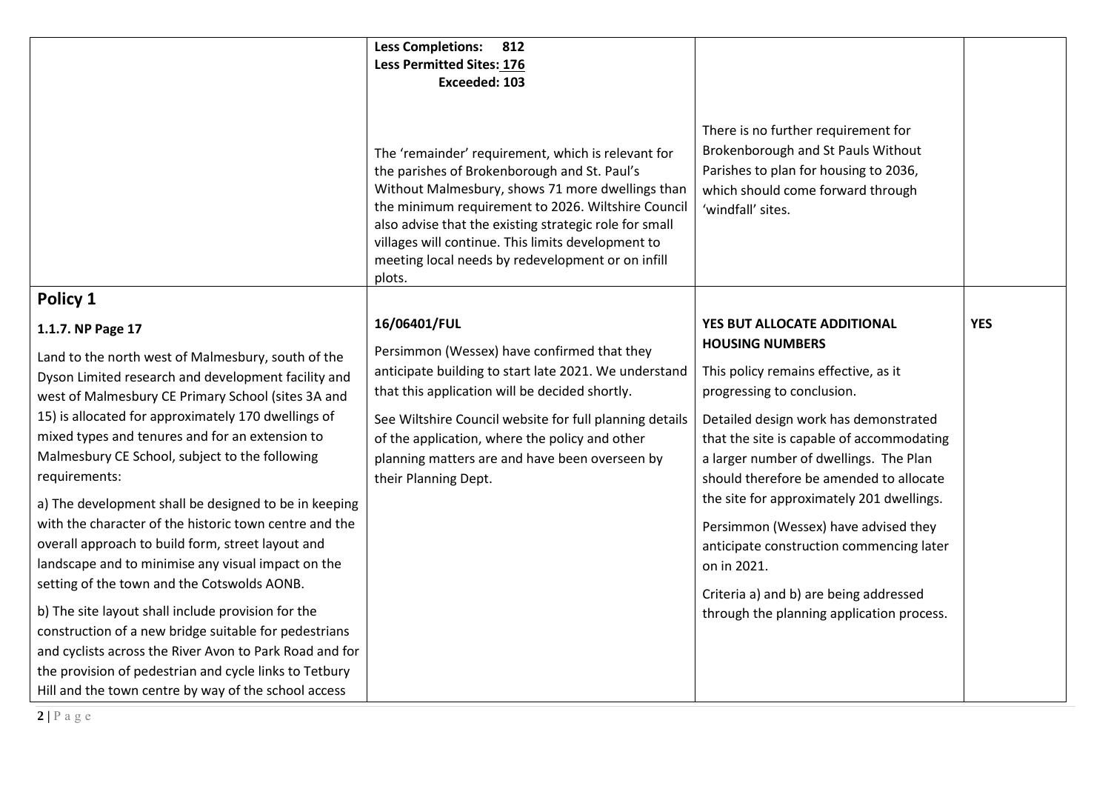|                                                                                                                                                                                                                                                                                                                                         | <b>Less Completions: 812</b><br><b>Less Permitted Sites: 176</b><br>Exceeded: 103                                                                                                                                                                                                                                                                                                           |                                                                                                                                                                              |            |
|-----------------------------------------------------------------------------------------------------------------------------------------------------------------------------------------------------------------------------------------------------------------------------------------------------------------------------------------|---------------------------------------------------------------------------------------------------------------------------------------------------------------------------------------------------------------------------------------------------------------------------------------------------------------------------------------------------------------------------------------------|------------------------------------------------------------------------------------------------------------------------------------------------------------------------------|------------|
|                                                                                                                                                                                                                                                                                                                                         | The 'remainder' requirement, which is relevant for<br>the parishes of Brokenborough and St. Paul's<br>Without Malmesbury, shows 71 more dwellings than<br>the minimum requirement to 2026. Wiltshire Council<br>also advise that the existing strategic role for small<br>villages will continue. This limits development to<br>meeting local needs by redevelopment or on infill<br>plots. | There is no further requirement for<br>Brokenborough and St Pauls Without<br>Parishes to plan for housing to 2036,<br>which should come forward through<br>'windfall' sites. |            |
| Policy 1                                                                                                                                                                                                                                                                                                                                |                                                                                                                                                                                                                                                                                                                                                                                             |                                                                                                                                                                              |            |
| 1.1.7. NP Page 17                                                                                                                                                                                                                                                                                                                       | 16/06401/FUL                                                                                                                                                                                                                                                                                                                                                                                | YES BUT ALLOCATE ADDITIONAL<br><b>HOUSING NUMBERS</b>                                                                                                                        | <b>YES</b> |
| Land to the north west of Malmesbury, south of the<br>Dyson Limited research and development facility and<br>west of Malmesbury CE Primary School (sites 3A and                                                                                                                                                                         | Persimmon (Wessex) have confirmed that they<br>anticipate building to start late 2021. We understand<br>that this application will be decided shortly.<br>See Wiltshire Council website for full planning details<br>of the application, where the policy and other<br>planning matters are and have been overseen by<br>their Planning Dept.                                               | This policy remains effective, as it<br>progressing to conclusion.                                                                                                           |            |
| 15) is allocated for approximately 170 dwellings of<br>mixed types and tenures and for an extension to<br>Malmesbury CE School, subject to the following<br>requirements:                                                                                                                                                               |                                                                                                                                                                                                                                                                                                                                                                                             | Detailed design work has demonstrated<br>that the site is capable of accommodating<br>a larger number of dwellings. The Plan<br>should therefore be amended to allocate      |            |
| a) The development shall be designed to be in keeping<br>with the character of the historic town centre and the<br>overall approach to build form, street layout and<br>landscape and to minimise any visual impact on the                                                                                                              |                                                                                                                                                                                                                                                                                                                                                                                             | the site for approximately 201 dwellings.<br>Persimmon (Wessex) have advised they<br>anticipate construction commencing later<br>on in 2021.                                 |            |
| setting of the town and the Cotswolds AONB.<br>b) The site layout shall include provision for the<br>construction of a new bridge suitable for pedestrians<br>and cyclists across the River Avon to Park Road and for<br>the provision of pedestrian and cycle links to Tetbury<br>Hill and the town centre by way of the school access |                                                                                                                                                                                                                                                                                                                                                                                             | Criteria a) and b) are being addressed<br>through the planning application process.                                                                                          |            |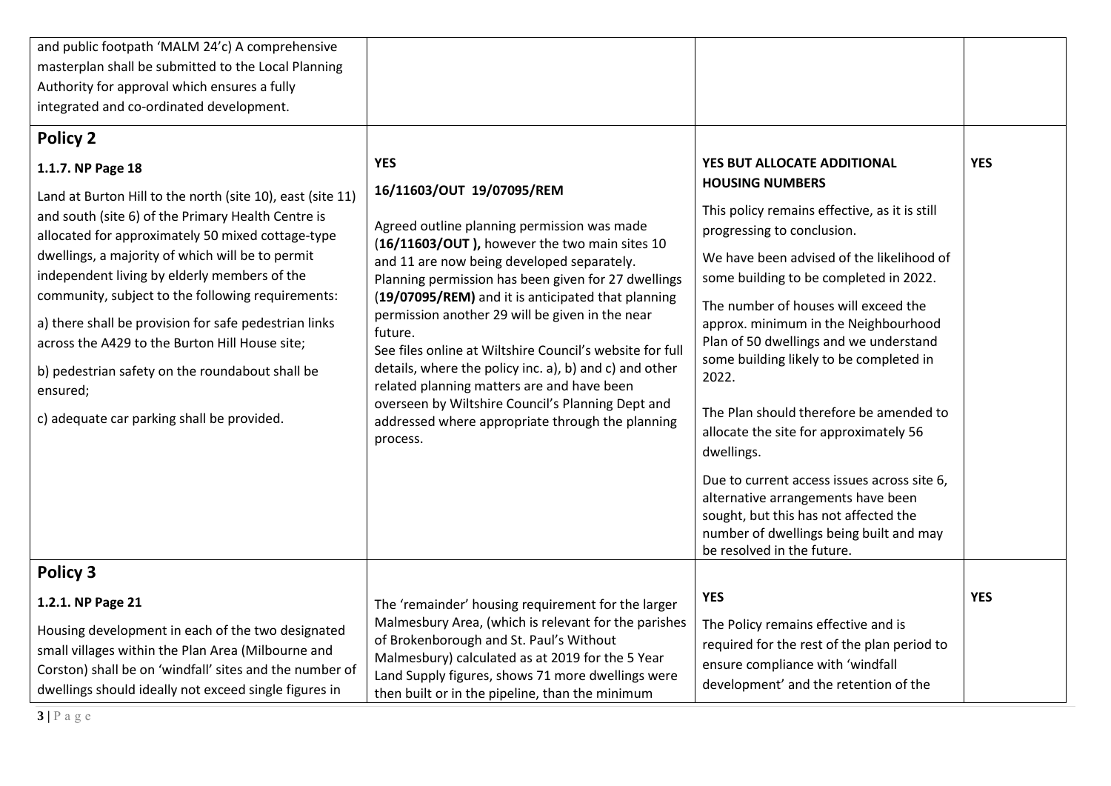| and public footpath 'MALM 24'c) A comprehensive<br>masterplan shall be submitted to the Local Planning                                                                                                                      |                                                                                                                                                                                                                                                                                                                                                                                                                                                                  |                                                                                                                                                                                                     |            |
|-----------------------------------------------------------------------------------------------------------------------------------------------------------------------------------------------------------------------------|------------------------------------------------------------------------------------------------------------------------------------------------------------------------------------------------------------------------------------------------------------------------------------------------------------------------------------------------------------------------------------------------------------------------------------------------------------------|-----------------------------------------------------------------------------------------------------------------------------------------------------------------------------------------------------|------------|
| Authority for approval which ensures a fully                                                                                                                                                                                |                                                                                                                                                                                                                                                                                                                                                                                                                                                                  |                                                                                                                                                                                                     |            |
| integrated and co-ordinated development.                                                                                                                                                                                    |                                                                                                                                                                                                                                                                                                                                                                                                                                                                  |                                                                                                                                                                                                     |            |
| <b>Policy 2</b><br>1.1.7. NP Page 18<br>Land at Burton Hill to the north (site 10), east (site 11)                                                                                                                          | <b>YES</b><br>16/11603/OUT 19/07095/REM                                                                                                                                                                                                                                                                                                                                                                                                                          | YES BUT ALLOCATE ADDITIONAL<br><b>HOUSING NUMBERS</b><br>This policy remains effective, as it is still                                                                                              | <b>YES</b> |
| and south (site 6) of the Primary Health Centre is<br>allocated for approximately 50 mixed cottage-type<br>dwellings, a majority of which will be to permit<br>independent living by elderly members of the                 | Agreed outline planning permission was made<br>(16/11603/OUT), however the two main sites 10<br>and 11 are now being developed separately.                                                                                                                                                                                                                                                                                                                       | progressing to conclusion.<br>We have been advised of the likelihood of<br>some building to be completed in 2022.                                                                                   |            |
| community, subject to the following requirements:<br>a) there shall be provision for safe pedestrian links<br>across the A429 to the Burton Hill House site;<br>b) pedestrian safety on the roundabout shall be             | Planning permission has been given for 27 dwellings<br>(19/07095/REM) and it is anticipated that planning<br>permission another 29 will be given in the near<br>future.<br>See files online at Wiltshire Council's website for full<br>details, where the policy inc. a), b) and c) and other<br>related planning matters are and have been<br>overseen by Wiltshire Council's Planning Dept and<br>addressed where appropriate through the planning<br>process. | The number of houses will exceed the<br>approx. minimum in the Neighbourhood<br>Plan of 50 dwellings and we understand<br>some building likely to be completed in<br>2022.                          |            |
| ensured;<br>c) adequate car parking shall be provided.                                                                                                                                                                      |                                                                                                                                                                                                                                                                                                                                                                                                                                                                  | The Plan should therefore be amended to<br>allocate the site for approximately 56<br>dwellings.                                                                                                     |            |
|                                                                                                                                                                                                                             |                                                                                                                                                                                                                                                                                                                                                                                                                                                                  | Due to current access issues across site 6,<br>alternative arrangements have been<br>sought, but this has not affected the<br>number of dwellings being built and may<br>be resolved in the future. |            |
| Policy 3                                                                                                                                                                                                                    |                                                                                                                                                                                                                                                                                                                                                                                                                                                                  |                                                                                                                                                                                                     |            |
| 1.2.1. NP Page 21                                                                                                                                                                                                           | The 'remainder' housing requirement for the larger                                                                                                                                                                                                                                                                                                                                                                                                               | <b>YES</b>                                                                                                                                                                                          | <b>YES</b> |
| Housing development in each of the two designated<br>small villages within the Plan Area (Milbourne and<br>Corston) shall be on 'windfall' sites and the number of<br>dwellings should ideally not exceed single figures in | Malmesbury Area, (which is relevant for the parishes<br>of Brokenborough and St. Paul's Without<br>Malmesbury) calculated as at 2019 for the 5 Year<br>Land Supply figures, shows 71 more dwellings were<br>then built or in the pipeline, than the minimum                                                                                                                                                                                                      | The Policy remains effective and is<br>required for the rest of the plan period to<br>ensure compliance with 'windfall<br>development' and the retention of the                                     |            |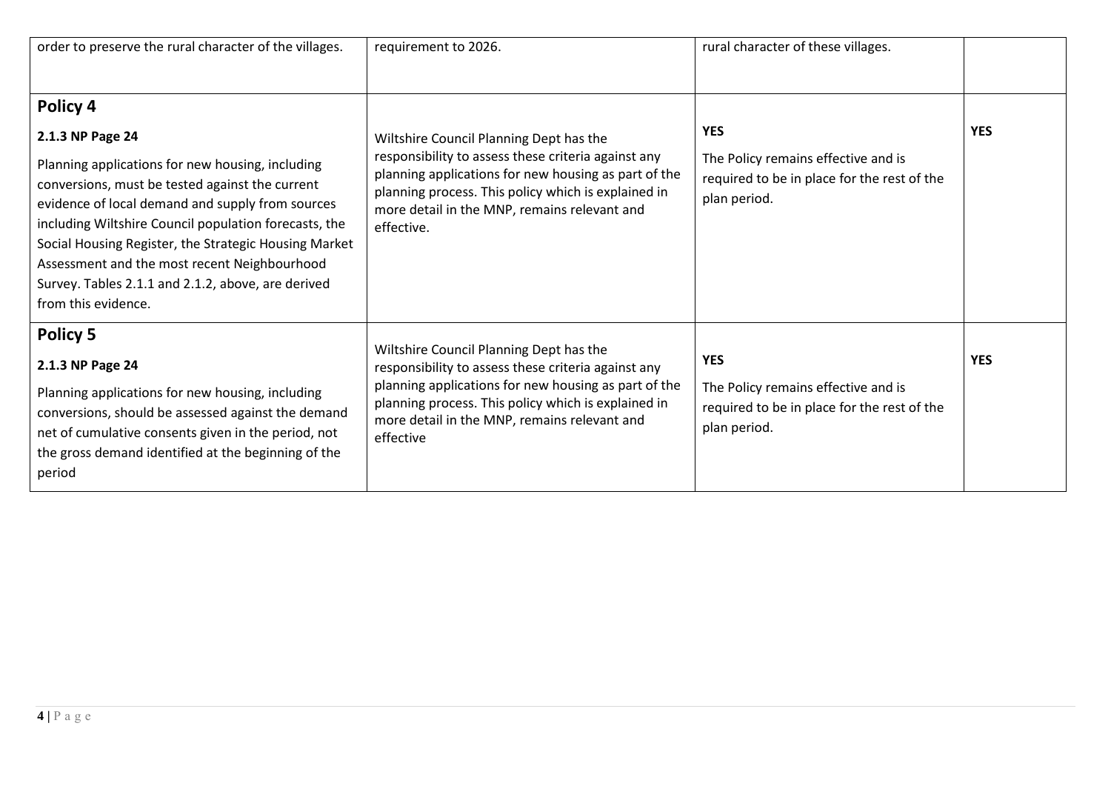| order to preserve the rural character of the villages.                                                                                                                                                                                                                                                                                                                                                                                 | requirement to 2026.                                                                                                                                                                                                                                                        | rural character of these villages.                                                                               |            |
|----------------------------------------------------------------------------------------------------------------------------------------------------------------------------------------------------------------------------------------------------------------------------------------------------------------------------------------------------------------------------------------------------------------------------------------|-----------------------------------------------------------------------------------------------------------------------------------------------------------------------------------------------------------------------------------------------------------------------------|------------------------------------------------------------------------------------------------------------------|------------|
| Policy 4<br>2.1.3 NP Page 24<br>Planning applications for new housing, including<br>conversions, must be tested against the current<br>evidence of local demand and supply from sources<br>including Wiltshire Council population forecasts, the<br>Social Housing Register, the Strategic Housing Market<br>Assessment and the most recent Neighbourhood<br>Survey. Tables 2.1.1 and 2.1.2, above, are derived<br>from this evidence. | Wiltshire Council Planning Dept has the<br>responsibility to assess these criteria against any<br>planning applications for new housing as part of the<br>planning process. This policy which is explained in<br>more detail in the MNP, remains relevant and<br>effective. | <b>YES</b><br>The Policy remains effective and is<br>required to be in place for the rest of the<br>plan period. | <b>YES</b> |
| Policy 5<br>2.1.3 NP Page 24<br>Planning applications for new housing, including<br>conversions, should be assessed against the demand<br>net of cumulative consents given in the period, not<br>the gross demand identified at the beginning of the<br>period                                                                                                                                                                         | Wiltshire Council Planning Dept has the<br>responsibility to assess these criteria against any<br>planning applications for new housing as part of the<br>planning process. This policy which is explained in<br>more detail in the MNP, remains relevant and<br>effective  | <b>YES</b><br>The Policy remains effective and is<br>required to be in place for the rest of the<br>plan period. | <b>YES</b> |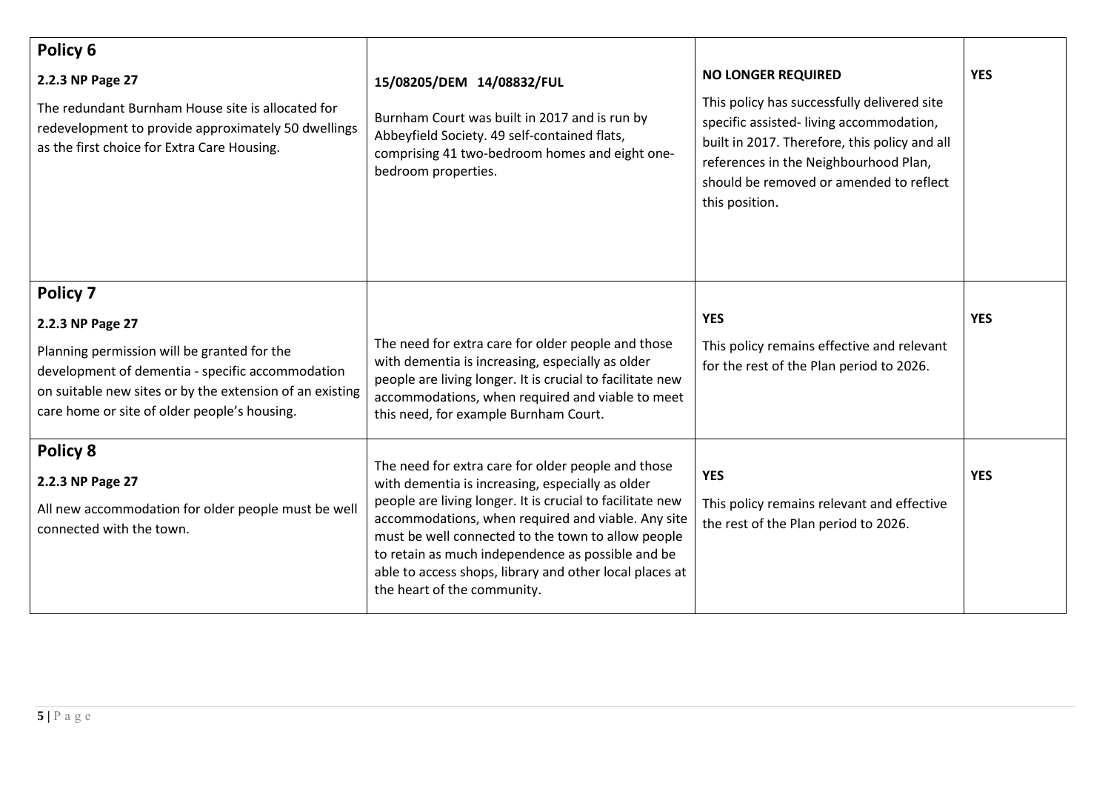| Policy 6                                                                                                                                                                                                    |                                                                                                                                                                                                                                                                                                                      |                                                                                                                                                                                                                                               |            |
|-------------------------------------------------------------------------------------------------------------------------------------------------------------------------------------------------------------|----------------------------------------------------------------------------------------------------------------------------------------------------------------------------------------------------------------------------------------------------------------------------------------------------------------------|-----------------------------------------------------------------------------------------------------------------------------------------------------------------------------------------------------------------------------------------------|------------|
| 2.2.3 NP Page 27                                                                                                                                                                                            | 15/08205/DEM 14/08832/FUL                                                                                                                                                                                                                                                                                            | <b>NO LONGER REQUIRED</b>                                                                                                                                                                                                                     | <b>YES</b> |
| The redundant Burnham House site is allocated for<br>redevelopment to provide approximately 50 dwellings<br>as the first choice for Extra Care Housing.                                                     | Burnham Court was built in 2017 and is run by<br>Abbeyfield Society. 49 self-contained flats,<br>comprising 41 two-bedroom homes and eight one-<br>bedroom properties.                                                                                                                                               | This policy has successfully delivered site<br>specific assisted-living accommodation,<br>built in 2017. Therefore, this policy and all<br>references in the Neighbourhood Plan,<br>should be removed or amended to reflect<br>this position. |            |
| Policy 7                                                                                                                                                                                                    |                                                                                                                                                                                                                                                                                                                      |                                                                                                                                                                                                                                               |            |
| 2.2.3 NP Page 27                                                                                                                                                                                            |                                                                                                                                                                                                                                                                                                                      | <b>YES</b>                                                                                                                                                                                                                                    | <b>YES</b> |
| Planning permission will be granted for the<br>development of dementia - specific accommodation<br>on suitable new sites or by the extension of an existing<br>care home or site of older people's housing. | The need for extra care for older people and those<br>with dementia is increasing, especially as older<br>people are living longer. It is crucial to facilitate new<br>accommodations, when required and viable to meet<br>this need, for example Burnham Court.                                                     | This policy remains effective and relevant<br>for the rest of the Plan period to 2026.                                                                                                                                                        |            |
| Policy 8                                                                                                                                                                                                    | The need for extra care for older people and those                                                                                                                                                                                                                                                                   |                                                                                                                                                                                                                                               |            |
| 2.2.3 NP Page 27                                                                                                                                                                                            | with dementia is increasing, especially as older                                                                                                                                                                                                                                                                     | <b>YES</b>                                                                                                                                                                                                                                    | <b>YES</b> |
| All new accommodation for older people must be well<br>connected with the town.                                                                                                                             | people are living longer. It is crucial to facilitate new<br>accommodations, when required and viable. Any site<br>must be well connected to the town to allow people<br>to retain as much independence as possible and be<br>able to access shops, library and other local places at<br>the heart of the community. | This policy remains relevant and effective<br>the rest of the Plan period to 2026.                                                                                                                                                            |            |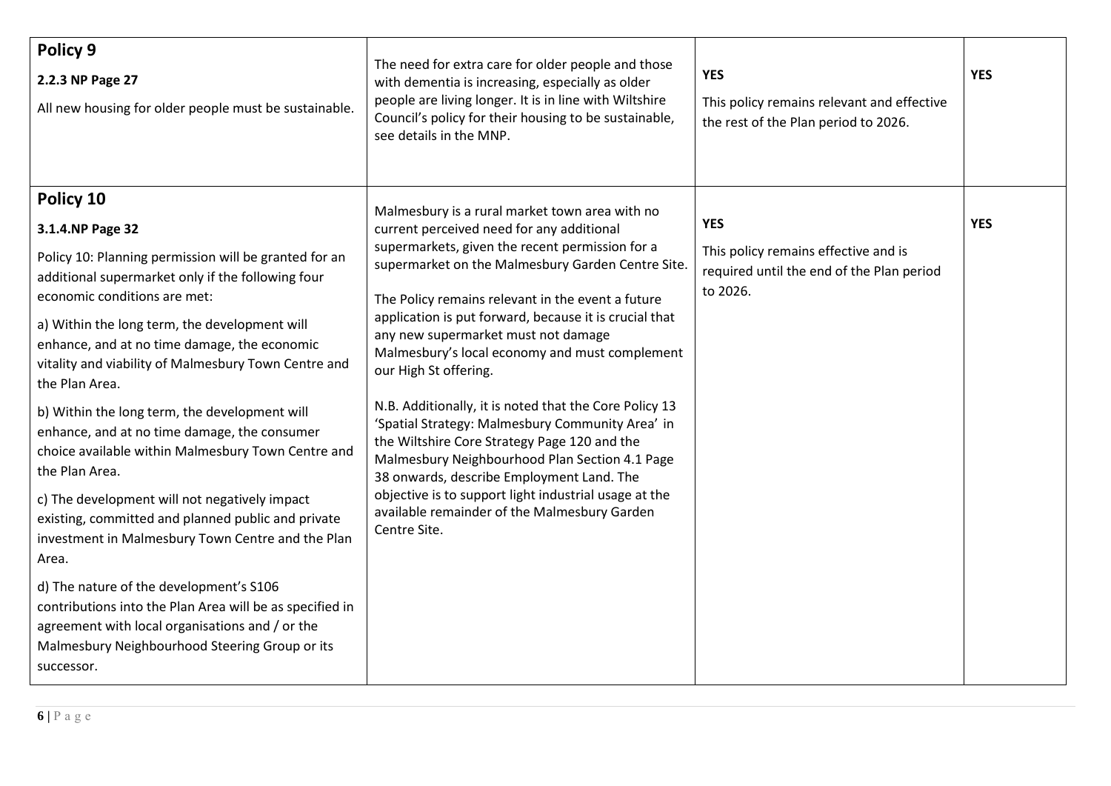| Policy 9<br>2.2.3 NP Page 27<br>All new housing for older people must be sustainable.                                                                                                                                                                                                                                                                                                                                                                                                                                                                                                                                                                                                                                                                                                                                                                                                                                          | The need for extra care for older people and those<br>with dementia is increasing, especially as older<br>people are living longer. It is in line with Wiltshire<br>Council's policy for their housing to be sustainable,<br>see details in the MNP.                                                                                                                                                                                                                                                                                                                                                                                                                                                                                                                                                                       | <b>YES</b><br>This policy remains relevant and effective<br>the rest of the Plan period to 2026.            | <b>YES</b> |
|--------------------------------------------------------------------------------------------------------------------------------------------------------------------------------------------------------------------------------------------------------------------------------------------------------------------------------------------------------------------------------------------------------------------------------------------------------------------------------------------------------------------------------------------------------------------------------------------------------------------------------------------------------------------------------------------------------------------------------------------------------------------------------------------------------------------------------------------------------------------------------------------------------------------------------|----------------------------------------------------------------------------------------------------------------------------------------------------------------------------------------------------------------------------------------------------------------------------------------------------------------------------------------------------------------------------------------------------------------------------------------------------------------------------------------------------------------------------------------------------------------------------------------------------------------------------------------------------------------------------------------------------------------------------------------------------------------------------------------------------------------------------|-------------------------------------------------------------------------------------------------------------|------------|
| Policy 10<br>3.1.4.NP Page 32<br>Policy 10: Planning permission will be granted for an<br>additional supermarket only if the following four<br>economic conditions are met:<br>a) Within the long term, the development will<br>enhance, and at no time damage, the economic<br>vitality and viability of Malmesbury Town Centre and<br>the Plan Area.<br>b) Within the long term, the development will<br>enhance, and at no time damage, the consumer<br>choice available within Malmesbury Town Centre and<br>the Plan Area.<br>c) The development will not negatively impact<br>existing, committed and planned public and private<br>investment in Malmesbury Town Centre and the Plan<br>Area.<br>d) The nature of the development's S106<br>contributions into the Plan Area will be as specified in<br>agreement with local organisations and / or the<br>Malmesbury Neighbourhood Steering Group or its<br>successor. | Malmesbury is a rural market town area with no<br>current perceived need for any additional<br>supermarkets, given the recent permission for a<br>supermarket on the Malmesbury Garden Centre Site.<br>The Policy remains relevant in the event a future<br>application is put forward, because it is crucial that<br>any new supermarket must not damage<br>Malmesbury's local economy and must complement<br>our High St offering.<br>N.B. Additionally, it is noted that the Core Policy 13<br>'Spatial Strategy: Malmesbury Community Area' in<br>the Wiltshire Core Strategy Page 120 and the<br>Malmesbury Neighbourhood Plan Section 4.1 Page<br>38 onwards, describe Employment Land. The<br>objective is to support light industrial usage at the<br>available remainder of the Malmesbury Garden<br>Centre Site. | <b>YES</b><br>This policy remains effective and is<br>required until the end of the Plan period<br>to 2026. | <b>YES</b> |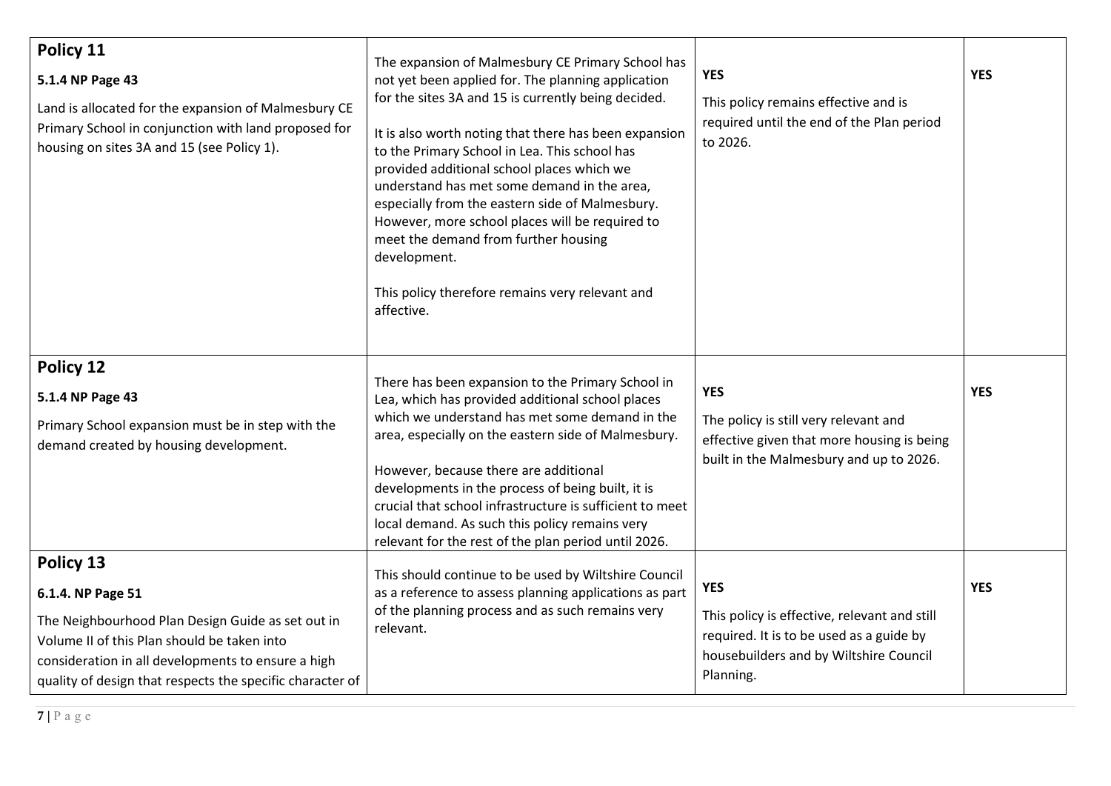| Policy 11<br>5.1.4 NP Page 43<br>Land is allocated for the expansion of Malmesbury CE<br>Primary School in conjunction with land proposed for<br>housing on sites 3A and 15 (see Policy 1).                                                           | The expansion of Malmesbury CE Primary School has<br>not yet been applied for. The planning application<br>for the sites 3A and 15 is currently being decided.<br>It is also worth noting that there has been expansion<br>to the Primary School in Lea. This school has<br>provided additional school places which we<br>understand has met some demand in the area,<br>especially from the eastern side of Malmesbury.<br>However, more school places will be required to<br>meet the demand from further housing<br>development.<br>This policy therefore remains very relevant and<br>affective. | <b>YES</b><br>This policy remains effective and is<br>required until the end of the Plan period<br>to 2026.                                                   | <b>YES</b> |
|-------------------------------------------------------------------------------------------------------------------------------------------------------------------------------------------------------------------------------------------------------|------------------------------------------------------------------------------------------------------------------------------------------------------------------------------------------------------------------------------------------------------------------------------------------------------------------------------------------------------------------------------------------------------------------------------------------------------------------------------------------------------------------------------------------------------------------------------------------------------|---------------------------------------------------------------------------------------------------------------------------------------------------------------|------------|
| Policy 12<br>5.1.4 NP Page 43<br>Primary School expansion must be in step with the<br>demand created by housing development.                                                                                                                          | There has been expansion to the Primary School in<br>Lea, which has provided additional school places<br>which we understand has met some demand in the<br>area, especially on the eastern side of Malmesbury.<br>However, because there are additional<br>developments in the process of being built, it is<br>crucial that school infrastructure is sufficient to meet<br>local demand. As such this policy remains very<br>relevant for the rest of the plan period until 2026.                                                                                                                   | <b>YES</b><br>The policy is still very relevant and<br>effective given that more housing is being<br>built in the Malmesbury and up to 2026.                  | <b>YES</b> |
| Policy 13<br>6.1.4. NP Page 51<br>The Neighbourhood Plan Design Guide as set out in<br>Volume II of this Plan should be taken into<br>consideration in all developments to ensure a high<br>quality of design that respects the specific character of | This should continue to be used by Wiltshire Council<br>as a reference to assess planning applications as part<br>of the planning process and as such remains very<br>relevant.                                                                                                                                                                                                                                                                                                                                                                                                                      | <b>YES</b><br>This policy is effective, relevant and still<br>required. It is to be used as a guide by<br>housebuilders and by Wiltshire Council<br>Planning. | <b>YES</b> |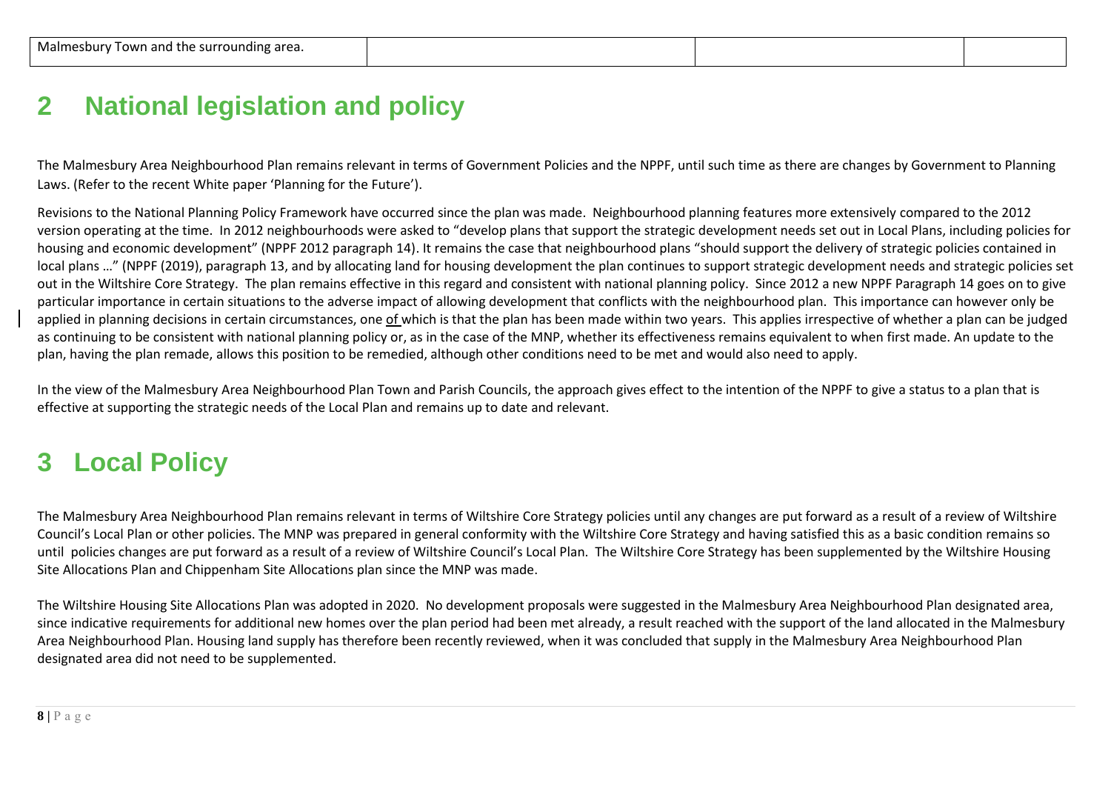### **2 National legislation and policy**

The Malmesbury Area Neighbourhood Plan remains relevant in terms of Government Policies and the NPPF, until such time as there are changes by Government to Planning Laws. (Refer to the recent White paper 'Planning for the Future').

Revisions to the National Planning Policy Framework have occurred since the plan was made. Neighbourhood planning features more extensively compared to the 2012 version operating at the time. In 2012 neighbourhoods were asked to "develop plans that support the strategic development needs set out in Local Plans, including policies for housing and economic development" (NPPF 2012 paragraph 14). It remains the case that neighbourhood plans "should support the delivery of strategic policies contained in local plans …" (NPPF (2019), paragraph 13, and by allocating land for housing development the plan continues to support strategic development needs and strategic policies set out in the Wiltshire Core Strategy. The plan remains effective in this regard and consistent with national planning policy. Since 2012 a new NPPF Paragraph 14 goes on to give particular importance in certain situations to the adverse impact of allowing development that conflicts with the neighbourhood plan. This importance can however only be applied in planning decisions in certain circumstances, one of which is that the plan has been made within two years. This applies irrespective of whether a plan can be judged as continuing to be consistent with national planning policy or, as in the case of the MNP, whether its effectiveness remains equivalent to when first made. An update to the plan, having the plan remade, allows this position to be remedied, although other conditions need to be met and would also need to apply.

In the view of the Malmesbury Area Neighbourhood Plan Town and Parish Councils, the approach gives effect to the intention of the NPPF to give a status to a plan that is effective at supporting the strategic needs of the Local Plan and remains up to date and relevant.

# **3 Local Policy**

The Malmesbury Area Neighbourhood Plan remains relevant in terms of Wiltshire Core Strategy policies until any changes are put forward as a result of a review of Wiltshire Council's Local Plan or other policies. The MNP was prepared in general conformity with the Wiltshire Core Strategy and having satisfied this as a basic condition remains so until policies changes are put forward as a result of a review of Wiltshire Council's Local Plan. The Wiltshire Core Strategy has been supplemented by the Wiltshire Housing Site Allocations Plan and Chippenham Site Allocations plan since the MNP was made.

The Wiltshire Housing Site Allocations Plan was adopted in 2020. No development proposals were suggested in the Malmesbury Area Neighbourhood Plan designated area, since indicative requirements for additional new homes over the plan period had been met already, a result reached with the support of the land allocated in the Malmesbury Area Neighbourhood Plan. Housing land supply has therefore been recently reviewed, when it was concluded that supply in the Malmesbury Area Neighbourhood Plan designated area did not need to be supplemented.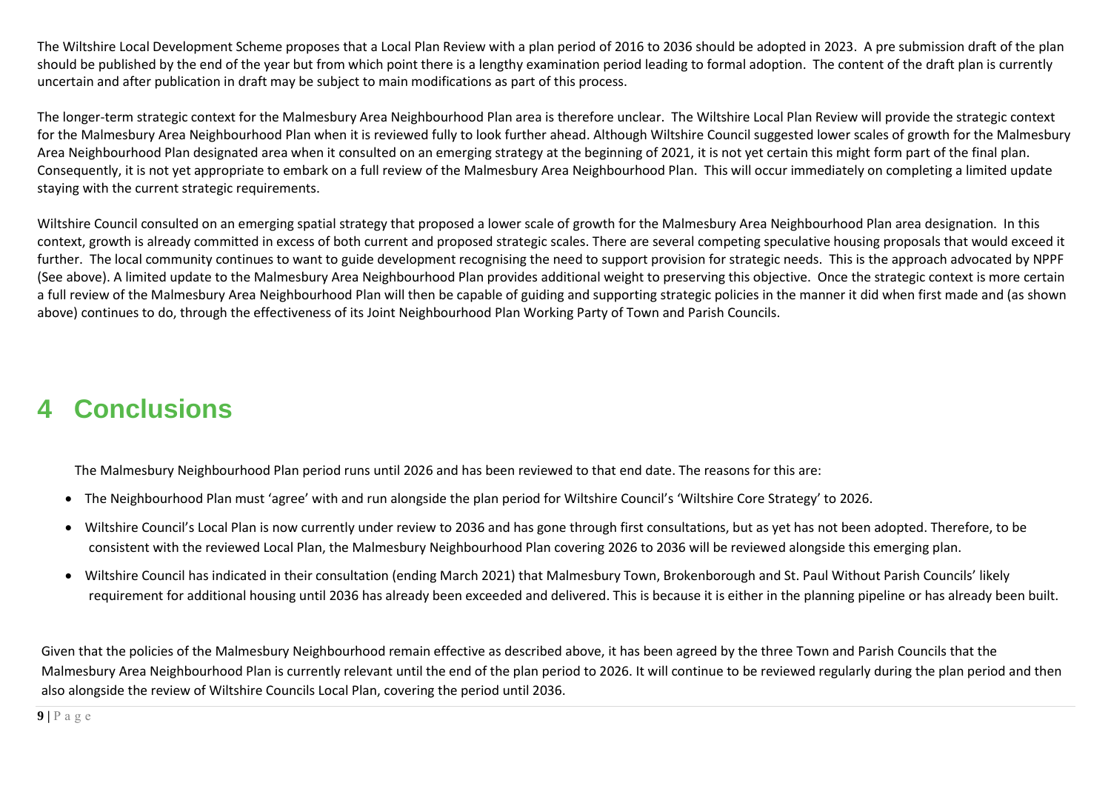The Wiltshire Local Development Scheme proposes that a Local Plan Review with a plan period of 2016 to 2036 should be adopted in 2023. A pre submission draft of the plan should be published by the end of the year but from which point there is a lengthy examination period leading to formal adoption. The content of the draft plan is currently uncertain and after publication in draft may be subject to main modifications as part of this process.

The longer-term strategic context for the Malmesbury Area Neighbourhood Plan area is therefore unclear. The Wiltshire Local Plan Review will provide the strategic context for the Malmesbury Area Neighbourhood Plan when it is reviewed fully to look further ahead. Although Wiltshire Council suggested lower scales of growth for the Malmesbury Area Neighbourhood Plan designated area when it consulted on an emerging strategy at the beginning of 2021, it is not vet certain this might form part of the final plan. Consequently, it is not yet appropriate to embark on a full review of the Malmesbury Area Neighbourhood Plan. This will occur immediately on completing a limited update staying with the current strategic requirements.

Wiltshire Council consulted on an emerging spatial strategy that proposed a lower scale of growth for the Malmesbury Area Neighbourhood Plan area designation. In this context, growth is already committed in excess of both current and proposed strategic scales. There are several competing speculative housing proposals that would exceed it further. The local community continues to want to guide development recognising the need to support provision for strategic needs. This is the approach advocated by NPPF (See above). A limited update to the Malmesbury Area Neighbourhood Plan provides additional weight to preserving this objective. Once the strategic context is more certain a full review of the Malmesbury Area Neighbourhood Plan will then be capable of guiding and supporting strategic policies in the manner it did when first made and (as shown above) continues to do, through the effectiveness of its Joint Neighbourhood Plan Working Party of Town and Parish Councils.

# **4 Conclusions**

The Malmesbury Neighbourhood Plan period runs until 2026 and has been reviewed to that end date. The reasons for this are:

- The Neighbourhood Plan must 'agree' with and run alongside the plan period for Wiltshire Council's 'Wiltshire Core Strategy' to 2026.
- Wiltshire Council's Local Plan is now currently under review to 2036 and has gone through first consultations, but as yet has not been adopted. Therefore, to be consistent with the reviewed Local Plan, the Malmesbury Neighbourhood Plan covering 2026 to 2036 will be reviewed alongside this emerging plan.
- Wiltshire Council has indicated in their consultation (ending March 2021) that Malmesbury Town, Brokenborough and St. Paul Without Parish Councils' likely requirement for additional housing until 2036 has already been exceeded and delivered. This is because it is either in the planning pipeline or has already been built.

Given that the policies of the Malmesbury Neighbourhood remain effective as described above, it has been agreed by the three Town and Parish Councils that the Malmesbury Area Neighbourhood Plan is currently relevant until the end of the plan period to 2026. It will continue to be reviewed regularly during the plan period and then also alongside the review of Wiltshire Councils Local Plan, covering the period until 2036.